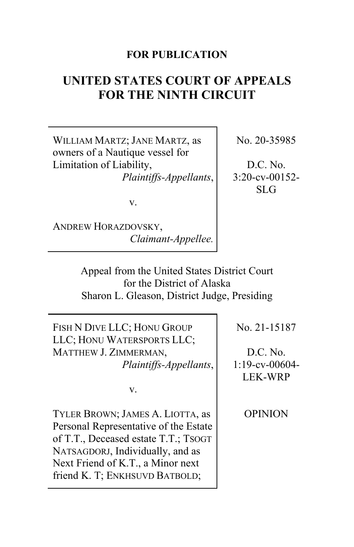# **FOR PUBLICATION**

# **UNITED STATES COURT OF APPEALS FOR THE NINTH CIRCUIT**

WILLIAM MARTZ; JANE MARTZ, as owners of a Nautique vessel for Limitation of Liability, *Plaintiffs-Appellants*, No. 20-35985

D.C. No. 3:20-cv-00152- SLG

v.

ANDREW HORAZDOVSKY, *Claimant-Appellee.*

> Appeal from the United States District Court for the District of Alaska Sharon L. Gleason, District Judge, Presiding

FISH N DIVE LLC; HONU GROUP LLC; HONU WATERSPORTS LLC; MATTHEW J. ZIMMERMAN, *Plaintiffs-Appellants*,

v.

TYLER BROWN; JAMES A. LIOTTA, as Personal Representative of the Estate of T.T., Deceased estate T.T.; TSOGT NATSAGDORJ, Individually, and as Next Friend of K.T., a Minor next friend K. T; ENKHSUVD BATBOLD;

No. 21-15187

D.C. No. 1:19-cv-00604- LEK-WRP

OPINION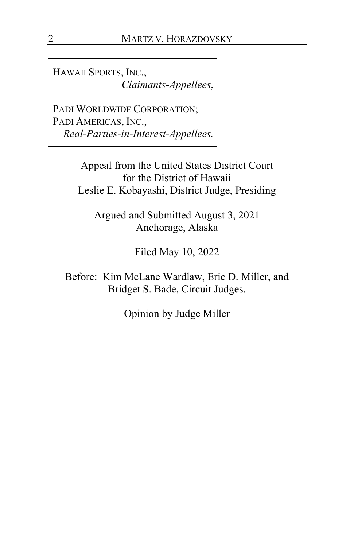HAWAII SPORTS, INC., *Claimants-Appellees*,

PADI WORLDWIDE CORPORATION; PADI AMERICAS, INC., *Real-Parties-in-Interest-Appellees.*

> Appeal from the United States District Court for the District of Hawaii Leslie E. Kobayashi, District Judge, Presiding

Argued and Submitted August 3, 2021 Anchorage, Alaska

Filed May 10, 2022

Before: Kim McLane Wardlaw, Eric D. Miller, and Bridget S. Bade, Circuit Judges.

Opinion by Judge Miller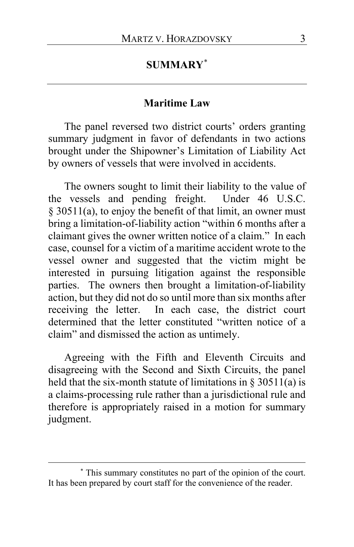# **SUMMARY**[\\*](#page-2-0)

### **Maritime Law**

The panel reversed two district courts' orders granting summary judgment in favor of defendants in two actions brought under the Shipowner's Limitation of Liability Act by owners of vessels that were involved in accidents.

The owners sought to limit their liability to the value of the vessels and pending freight. Under 46 U.S.C. § 30511(a), to enjoy the benefit of that limit, an owner must bring a limitation-of-liability action "within 6 months after a claimant gives the owner written notice of a claim." In each case, counsel for a victim of a maritime accident wrote to the vessel owner and suggested that the victim might be interested in pursuing litigation against the responsible parties. The owners then brought a limitation-of-liability action, but they did not do so until more than six months after receiving the letter. In each case, the district court determined that the letter constituted "written notice of a claim" and dismissed the action as untimely.

Agreeing with the Fifth and Eleventh Circuits and disagreeing with the Second and Sixth Circuits, the panel held that the six-month statute of limitations in  $\S$  30511(a) is a claims-processing rule rather than a jurisdictional rule and therefore is appropriately raised in a motion for summary judgment.

<span id="page-2-0"></span><sup>\*</sup> This summary constitutes no part of the opinion of the court. It has been prepared by court staff for the convenience of the reader.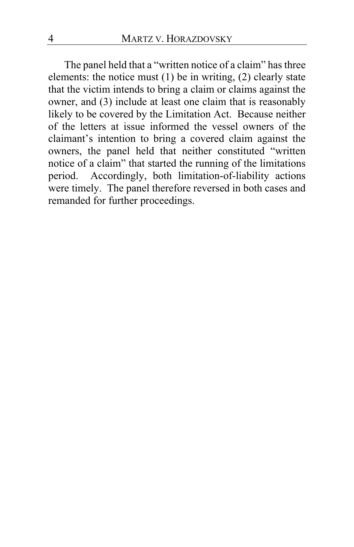The panel held that a "written notice of a claim" has three elements: the notice must (1) be in writing, (2) clearly state that the victim intends to bring a claim or claims against the owner, and (3) include at least one claim that is reasonably likely to be covered by the Limitation Act. Because neither of the letters at issue informed the vessel owners of the claimant's intention to bring a covered claim against the owners, the panel held that neither constituted "written notice of a claim" that started the running of the limitations period. Accordingly, both limitation-of-liability actions were timely. The panel therefore reversed in both cases and remanded for further proceedings.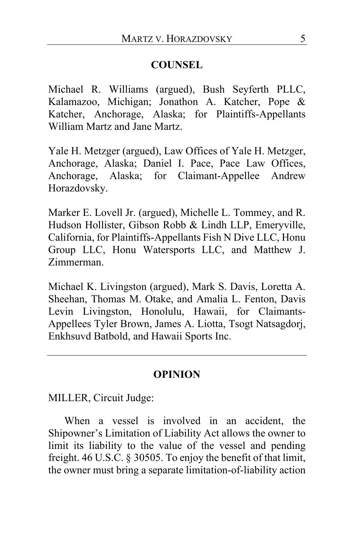## **COUNSEL**

Michael R. Williams (argued), Bush Seyferth PLLC, Kalamazoo, Michigan; Jonathon A. Katcher, Pope & Katcher, Anchorage, Alaska; for Plaintiffs-Appellants William Martz and Jane Martz.

Yale H. Metzger (argued), Law Offices of Yale H. Metzger, Anchorage, Alaska; Daniel I. Pace, Pace Law Offices, Anchorage, Alaska; for Claimant-Appellee Andrew Horazdovsky.

Marker E. Lovell Jr. (argued), Michelle L. Tommey, and R. Hudson Hollister, Gibson Robb & Lindh LLP, Emeryville, California, for Plaintiffs-Appellants Fish N Dive LLC, Honu Group LLC, Honu Watersports LLC, and Matthew J. Zimmerman.

Michael K. Livingston (argued), Mark S. Davis, Loretta A. Sheehan, Thomas M. Otake, and Amalia L. Fenton, Davis Levin Livingston, Honolulu, Hawaii, for Claimants-Appellees Tyler Brown, James A. Liotta, Tsogt Natsagdorj, Enkhsuvd Batbold, and Hawaii Sports Inc.

## **OPINION**

MILLER, Circuit Judge:

When a vessel is involved in an accident, the Shipowner's Limitation of Liability Act allows the owner to limit its liability to the value of the vessel and pending freight. 46 U.S.C. § 30505. To enjoy the benefit of that limit, the owner must bring a separate limitation-of-liability action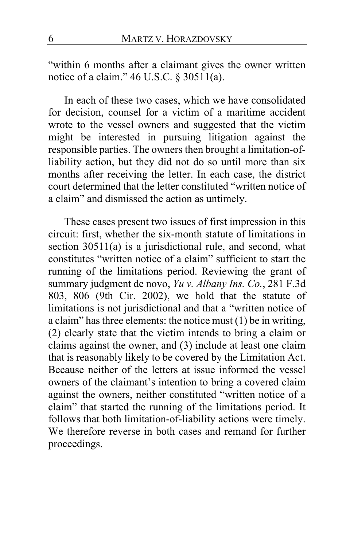"within 6 months after a claimant gives the owner written notice of a claim." 46 U.S.C. § 30511(a).

In each of these two cases, which we have consolidated for decision, counsel for a victim of a maritime accident wrote to the vessel owners and suggested that the victim might be interested in pursuing litigation against the responsible parties. The owners then brought a limitation-ofliability action, but they did not do so until more than six months after receiving the letter. In each case, the district court determined that the letter constituted "written notice of a claim" and dismissed the action as untimely.

These cases present two issues of first impression in this circuit: first, whether the six-month statute of limitations in section 30511(a) is a jurisdictional rule, and second, what constitutes "written notice of a claim" sufficient to start the running of the limitations period. Reviewing the grant of summary judgment de novo, *Yu v. Albany Ins. Co.*, 281 F.3d 803, 806 (9th Cir. 2002), we hold that the statute of limitations is not jurisdictional and that a "written notice of a claim" has three elements: the notice must (1) be in writing, (2) clearly state that the victim intends to bring a claim or claims against the owner, and (3) include at least one claim that is reasonably likely to be covered by the Limitation Act. Because neither of the letters at issue informed the vessel owners of the claimant's intention to bring a covered claim against the owners, neither constituted "written notice of a claim" that started the running of the limitations period. It follows that both limitation-of-liability actions were timely. We therefore reverse in both cases and remand for further proceedings.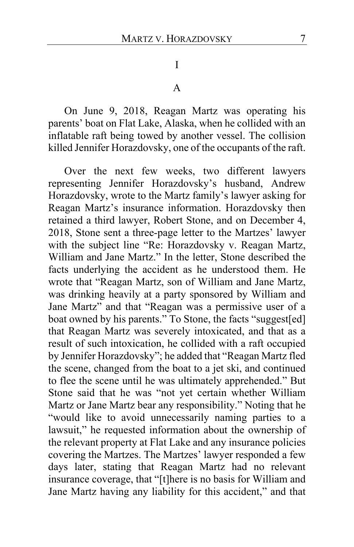I

A

On June 9, 2018, Reagan Martz was operating his parents' boat on Flat Lake, Alaska, when he collided with an inflatable raft being towed by another vessel. The collision killed Jennifer Horazdovsky, one of the occupants of the raft.

Over the next few weeks, two different lawyers representing Jennifer Horazdovsky's husband, Andrew Horazdovsky, wrote to the Martz family's lawyer asking for Reagan Martz's insurance information. Horazdovsky then retained a third lawyer, Robert Stone, and on December 4, 2018, Stone sent a three-page letter to the Martzes' lawyer with the subject line "Re: Horazdovsky v. Reagan Martz, William and Jane Martz." In the letter, Stone described the facts underlying the accident as he understood them. He wrote that "Reagan Martz, son of William and Jane Martz, was drinking heavily at a party sponsored by William and Jane Martz" and that "Reagan was a permissive user of a boat owned by his parents." To Stone, the facts "suggest[ed] that Reagan Martz was severely intoxicated, and that as a result of such intoxication, he collided with a raft occupied by Jennifer Horazdovsky"; he added that "Reagan Martz fled the scene, changed from the boat to a jet ski, and continued to flee the scene until he was ultimately apprehended." But Stone said that he was "not yet certain whether William Martz or Jane Martz bear any responsibility." Noting that he "would like to avoid unnecessarily naming parties to a lawsuit," he requested information about the ownership of the relevant property at Flat Lake and any insurance policies covering the Martzes. The Martzes' lawyer responded a few days later, stating that Reagan Martz had no relevant insurance coverage, that "[t]here is no basis for William and Jane Martz having any liability for this accident," and that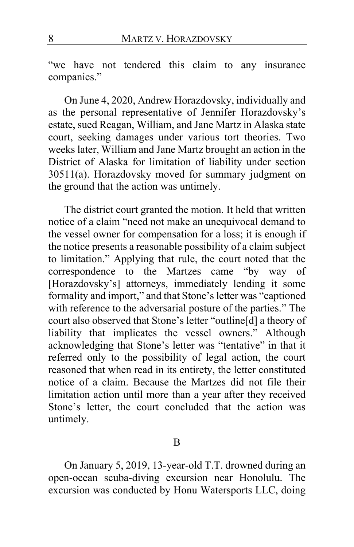"we have not tendered this claim to any insurance companies."

On June 4, 2020, Andrew Horazdovsky, individually and as the personal representative of Jennifer Horazdovsky's estate, sued Reagan, William, and Jane Martz in Alaska state court, seeking damages under various tort theories. Two weeks later, William and Jane Martz brought an action in the District of Alaska for limitation of liability under section 30511(a). Horazdovsky moved for summary judgment on the ground that the action was untimely.

The district court granted the motion. It held that written notice of a claim "need not make an unequivocal demand to the vessel owner for compensation for a loss; it is enough if the notice presents a reasonable possibility of a claim subject to limitation." Applying that rule, the court noted that the correspondence to the Martzes came "by way of [Horazdovsky's] attorneys, immediately lending it some formality and import," and that Stone's letter was "captioned with reference to the adversarial posture of the parties." The court also observed that Stone's letter "outline[d] a theory of liability that implicates the vessel owners." Although acknowledging that Stone's letter was "tentative" in that it referred only to the possibility of legal action, the court reasoned that when read in its entirety, the letter constituted notice of a claim. Because the Martzes did not file their limitation action until more than a year after they received Stone's letter, the court concluded that the action was untimely.

On January 5, 2019, 13-year-old T.T. drowned during an open-ocean scuba-diving excursion near Honolulu. The excursion was conducted by Honu Watersports LLC, doing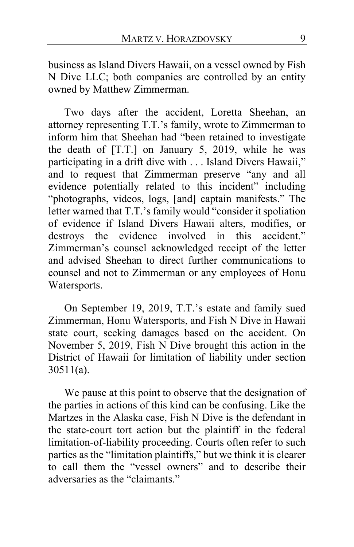business as Island Divers Hawaii, on a vessel owned by Fish N Dive LLC; both companies are controlled by an entity owned by Matthew Zimmerman.

Two days after the accident, Loretta Sheehan, an attorney representing T.T.'s family, wrote to Zimmerman to inform him that Sheehan had "been retained to investigate the death of [T.T.] on January 5, 2019, while he was participating in a drift dive with . . . Island Divers Hawaii," and to request that Zimmerman preserve "any and all evidence potentially related to this incident" including "photographs, videos, logs, [and] captain manifests." The letter warned that T.T.'s family would "consider it spoliation of evidence if Island Divers Hawaii alters, modifies, or destroys the evidence involved in this accident." Zimmerman's counsel acknowledged receipt of the letter and advised Sheehan to direct further communications to counsel and not to Zimmerman or any employees of Honu Watersports.

On September 19, 2019, T.T.'s estate and family sued Zimmerman, Honu Watersports, and Fish N Dive in Hawaii state court, seeking damages based on the accident. On November 5, 2019, Fish N Dive brought this action in the District of Hawaii for limitation of liability under section 30511(a).

We pause at this point to observe that the designation of the parties in actions of this kind can be confusing. Like the Martzes in the Alaska case, Fish N Dive is the defendant in the state-court tort action but the plaintiff in the federal limitation-of-liability proceeding. Courts often refer to such parties as the "limitation plaintiffs," but we think it is clearer to call them the "vessel owners" and to describe their adversaries as the "claimants."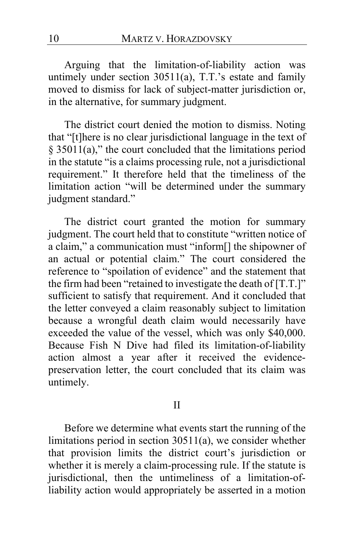Arguing that the limitation-of-liability action was untimely under section 30511(a), T.T.'s estate and family moved to dismiss for lack of subject-matter jurisdiction or, in the alternative, for summary judgment.

The district court denied the motion to dismiss. Noting that "[t]here is no clear jurisdictional language in the text of § 35011(a)," the court concluded that the limitations period in the statute "is a claims processing rule, not a jurisdictional requirement." It therefore held that the timeliness of the limitation action "will be determined under the summary judgment standard."

The district court granted the motion for summary judgment. The court held that to constitute "written notice of a claim," a communication must "inform[] the shipowner of an actual or potential claim." The court considered the reference to "spoilation of evidence" and the statement that the firm had been "retained to investigate the death of [T.T.]" sufficient to satisfy that requirement. And it concluded that the letter conveyed a claim reasonably subject to limitation because a wrongful death claim would necessarily have exceeded the value of the vessel, which was only \$40,000. Because Fish N Dive had filed its limitation-of-liability action almost a year after it received the evidencepreservation letter, the court concluded that its claim was untimely.

### II

Before we determine what events start the running of the limitations period in section 30511(a), we consider whether that provision limits the district court's jurisdiction or whether it is merely a claim-processing rule. If the statute is jurisdictional, then the untimeliness of a limitation-ofliability action would appropriately be asserted in a motion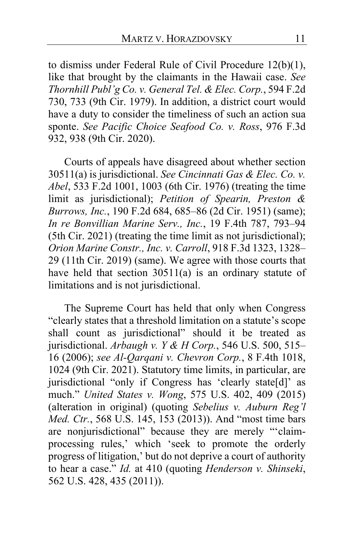to dismiss under Federal Rule of Civil Procedure 12(b)(1), like that brought by the claimants in the Hawaii case. *See Thornhill Publ'g Co. v. General Tel. & Elec. Corp.*, 594 F.2d 730, 733 (9th Cir. 1979). In addition, a district court would have a duty to consider the timeliness of such an action sua sponte. *See Pacific Choice Seafood Co. v. Ross*, 976 F.3d 932, 938 (9th Cir. 2020).

Courts of appeals have disagreed about whether section 30511(a) is jurisdictional. *See Cincinnati Gas & Elec. Co. v. Abel*, 533 F.2d 1001, 1003 (6th Cir. 1976) (treating the time limit as jurisdictional); *Petition of Spearin, Preston & Burrows, Inc.*, 190 F.2d 684, 685–86 (2d Cir. 1951) (same); *In re Bonvillian Marine Serv., Inc.*, 19 F.4th 787, 793–94 (5th Cir. 2021) (treating the time limit as not jurisdictional); *Orion Marine Constr., Inc. v. Carroll*, 918 F.3d 1323, 1328– 29 (11th Cir. 2019) (same). We agree with those courts that have held that section 30511(a) is an ordinary statute of limitations and is not jurisdictional.

The Supreme Court has held that only when Congress "clearly states that a threshold limitation on a statute's scope shall count as jurisdictional" should it be treated as jurisdictional. *Arbaugh v. Y & H Corp.*, 546 U.S. 500, 515– 16 (2006); *see Al-Qarqani v. Chevron Corp.*, 8 F.4th 1018, 1024 (9th Cir. 2021). Statutory time limits, in particular, are jurisdictional "only if Congress has 'clearly state[d]' as much." *United States v. Wong*, 575 U.S. 402, 409 (2015) (alteration in original) (quoting *Sebelius v. Auburn Reg'l Med. Ctr.*, 568 U.S. 145, 153 (2013)). And "most time bars are nonjurisdictional" because they are merely "'claimprocessing rules,' which 'seek to promote the orderly progress of litigation,' but do not deprive a court of authority to hear a case." *Id.* at 410 (quoting *Henderson v. Shinseki*, 562 U.S. 428, 435 (2011)).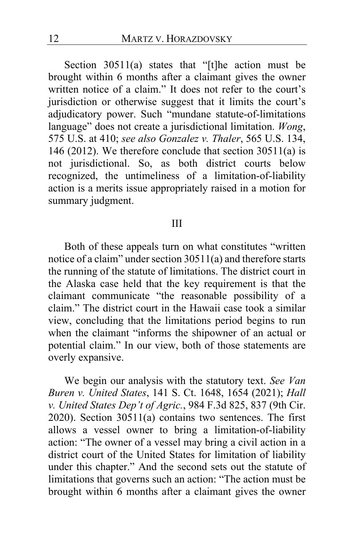Section 30511(a) states that "[t]he action must be brought within 6 months after a claimant gives the owner written notice of a claim." It does not refer to the court's jurisdiction or otherwise suggest that it limits the court's adjudicatory power. Such "mundane statute-of-limitations language" does not create a jurisdictional limitation. *Wong*, 575 U.S. at 410; *see also Gonzalez v. Thaler*, 565 U.S. 134, 146 (2012). We therefore conclude that section 30511(a) is not jurisdictional. So, as both district courts below recognized, the untimeliness of a limitation-of-liability action is a merits issue appropriately raised in a motion for summary judgment.

### III

Both of these appeals turn on what constitutes "written notice of a claim" under section 30511(a) and therefore starts the running of the statute of limitations. The district court in the Alaska case held that the key requirement is that the claimant communicate "the reasonable possibility of a claim." The district court in the Hawaii case took a similar view, concluding that the limitations period begins to run when the claimant "informs the shipowner of an actual or potential claim." In our view, both of those statements are overly expansive.

We begin our analysis with the statutory text. *See Van Buren v. United States*, 141 S. Ct. 1648, 1654 (2021); *Hall v. United States Dep't of Agric.*, 984 F.3d 825, 837 (9th Cir. 2020). Section 30511(a) contains two sentences. The first allows a vessel owner to bring a limitation-of-liability action: "The owner of a vessel may bring a civil action in a district court of the United States for limitation of liability under this chapter." And the second sets out the statute of limitations that governs such an action: "The action must be brought within 6 months after a claimant gives the owner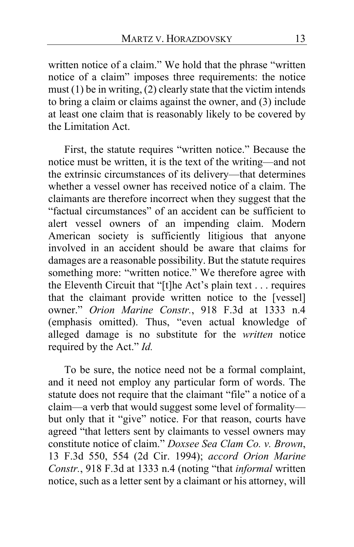written notice of a claim." We hold that the phrase "written notice of a claim" imposes three requirements: the notice must (1) be in writing, (2) clearly state that the victim intends to bring a claim or claims against the owner, and (3) include at least one claim that is reasonably likely to be covered by the Limitation Act.

First, the statute requires "written notice." Because the notice must be written, it is the text of the writing—and not the extrinsic circumstances of its delivery—that determines whether a vessel owner has received notice of a claim. The claimants are therefore incorrect when they suggest that the "factual circumstances" of an accident can be sufficient to alert vessel owners of an impending claim. Modern American society is sufficiently litigious that anyone involved in an accident should be aware that claims for damages are a reasonable possibility. But the statute requires something more: "written notice." We therefore agree with the Eleventh Circuit that "[t]he Act's plain text . . . requires that the claimant provide written notice to the [vessel] owner." *Orion Marine Constr.*, 918 F.3d at 1333 n.4 (emphasis omitted). Thus, "even actual knowledge of alleged damage is no substitute for the *written* notice required by the Act." *Id.*

To be sure, the notice need not be a formal complaint, and it need not employ any particular form of words. The statute does not require that the claimant "file" a notice of a claim—a verb that would suggest some level of formality but only that it "give" notice. For that reason, courts have agreed "that letters sent by claimants to vessel owners may constitute notice of claim." *Doxsee Sea Clam Co. v. Brown*, 13 F.3d 550, 554 (2d Cir. 1994); *accord Orion Marine Constr.*, 918 F.3d at 1333 n.4 (noting "that *informal* written notice, such as a letter sent by a claimant or his attorney, will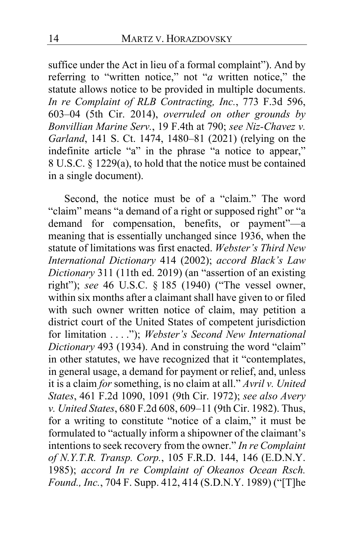suffice under the Act in lieu of a formal complaint"). And by referring to "written notice," not "*a* written notice," the statute allows notice to be provided in multiple documents. *In re Complaint of RLB Contracting, Inc.*, 773 F.3d 596, 603–04 (5th Cir. 2014), *overruled on other grounds by Bonvillian Marine Serv.*, 19 F.4th at 790; *see Niz-Chavez v. Garland*, 141 S. Ct. 1474, 1480–81 (2021) (relying on the indefinite article "a" in the phrase "a notice to appear," 8 U.S.C. § 1229(a), to hold that the notice must be contained in a single document).

Second, the notice must be of a "claim." The word "claim" means "a demand of a right or supposed right" or "a demand for compensation, benefits, or payment"—a meaning that is essentially unchanged since 1936, when the statute of limitations was first enacted. *Webster's Third New International Dictionary* 414 (2002); *accord Black's Law Dictionary* 311 (11th ed. 2019) (an "assertion of an existing right"); *see* 46 U.S.C. § 185 (1940) ("The vessel owner, within six months after a claimant shall have given to or filed with such owner written notice of claim, may petition a district court of the United States of competent jurisdiction for limitation . . . ."); *Webster's Second New International Dictionary* 493 (1934). And in construing the word "claim" in other statutes, we have recognized that it "contemplates, in general usage, a demand for payment or relief, and, unless it is a claim *for* something, is no claim at all." *Avril v. United States*, 461 F.2d 1090, 1091 (9th Cir. 1972); *see also Avery v. United States*, 680 F.2d 608, 609–11 (9th Cir. 1982). Thus, for a writing to constitute "notice of a claim," it must be formulated to "actually inform a shipowner of the claimant's intentions to seek recovery from the owner." *In re Complaint of N.Y.T.R. Transp. Corp.*, 105 F.R.D. 144, 146 (E.D.N.Y. 1985); *accord In re Complaint of Okeanos Ocean Rsch. Found., Inc.*, 704 F. Supp. 412, 414 (S.D.N.Y. 1989) ("[T]he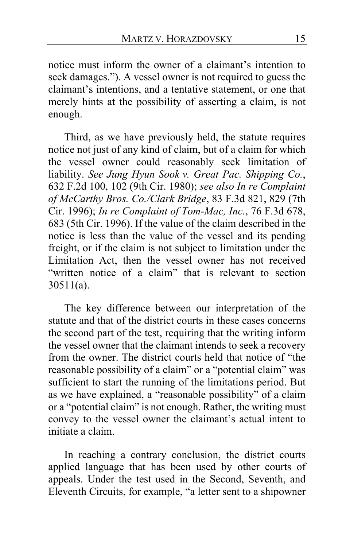notice must inform the owner of a claimant's intention to seek damages."). A vessel owner is not required to guess the claimant's intentions, and a tentative statement, or one that merely hints at the possibility of asserting a claim, is not enough.

Third, as we have previously held, the statute requires notice not just of any kind of claim, but of a claim for which the vessel owner could reasonably seek limitation of liability. *See Jung Hyun Sook v. Great Pac. Shipping Co.*, 632 F.2d 100, 102 (9th Cir. 1980); *see also In re Complaint of McCarthy Bros. Co./Clark Bridge*, 83 F.3d 821, 829 (7th Cir. 1996); *In re Complaint of Tom-Mac, Inc.*, 76 F.3d 678, 683 (5th Cir. 1996). If the value of the claim described in the notice is less than the value of the vessel and its pending freight, or if the claim is not subject to limitation under the Limitation Act, then the vessel owner has not received "written notice of a claim" that is relevant to section 30511(a).

The key difference between our interpretation of the statute and that of the district courts in these cases concerns the second part of the test, requiring that the writing inform the vessel owner that the claimant intends to seek a recovery from the owner. The district courts held that notice of "the reasonable possibility of a claim" or a "potential claim" was sufficient to start the running of the limitations period. But as we have explained, a "reasonable possibility" of a claim or a "potential claim" is not enough. Rather, the writing must convey to the vessel owner the claimant's actual intent to initiate a claim.

In reaching a contrary conclusion, the district courts applied language that has been used by other courts of appeals. Under the test used in the Second, Seventh, and Eleventh Circuits, for example, "a letter sent to a shipowner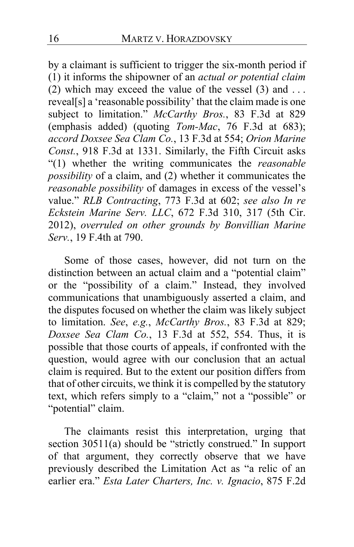by a claimant is sufficient to trigger the six-month period if (1) it informs the shipowner of an *actual or potential claim* (2) which may exceed the value of the vessel  $(3)$  and ... reveal[s] a 'reasonable possibility' that the claim made is one subject to limitation." *McCarthy Bros.*, 83 F.3d at 829 (emphasis added) (quoting *Tom-Mac*, 76 F.3d at 683); *accord Doxsee Sea Clam Co.*, 13 F.3d at 554; *Orion Marine Const.*, 918 F.3d at 1331. Similarly, the Fifth Circuit asks "(1) whether the writing communicates the *reasonable possibility* of a claim, and (2) whether it communicates the *reasonable possibility* of damages in excess of the vessel's value." *RLB Contracting*, 773 F.3d at 602; *see also In re Eckstein Marine Serv. LLC*, 672 F.3d 310, 317 (5th Cir. 2012), *overruled on other grounds by Bonvillian Marine Serv.*, 19 F.4th at 790.

Some of those cases, however, did not turn on the distinction between an actual claim and a "potential claim" or the "possibility of a claim." Instead, they involved communications that unambiguously asserted a claim, and the disputes focused on whether the claim was likely subject to limitation. *See*, *e.g.*, *McCarthy Bros.*, 83 F.3d at 829; *Doxsee Sea Clam Co.*, 13 F.3d at 552, 554. Thus, it is possible that those courts of appeals, if confronted with the question, would agree with our conclusion that an actual claim is required. But to the extent our position differs from that of other circuits, we think it is compelled by the statutory text, which refers simply to a "claim," not a "possible" or "potential" claim.

The claimants resist this interpretation, urging that section 30511(a) should be "strictly construed." In support of that argument, they correctly observe that we have previously described the Limitation Act as "a relic of an earlier era." *Esta Later Charters, Inc. v. Ignacio*, 875 F.2d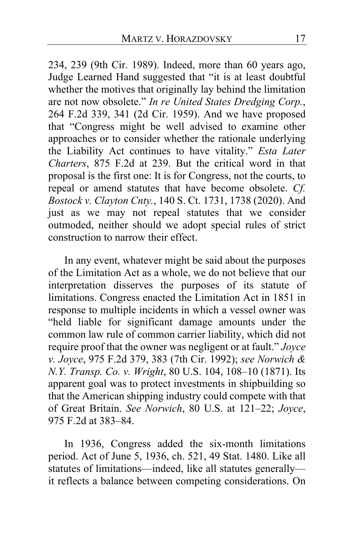234, 239 (9th Cir. 1989). Indeed, more than 60 years ago, Judge Learned Hand suggested that "it is at least doubtful whether the motives that originally lay behind the limitation are not now obsolete." *In re United States Dredging Corp.*, 264 F.2d 339, 341 (2d Cir. 1959). And we have proposed that "Congress might be well advised to examine other approaches or to consider whether the rationale underlying the Liability Act continues to have vitality." *Esta Later Charters*, 875 F.2d at 239. But the critical word in that proposal is the first one: It is for Congress, not the courts, to repeal or amend statutes that have become obsolete. *Cf. Bostock v. Clayton Cnty.*, 140 S. Ct. 1731, 1738 (2020). And just as we may not repeal statutes that we consider outmoded, neither should we adopt special rules of strict construction to narrow their effect.

In any event, whatever might be said about the purposes of the Limitation Act as a whole, we do not believe that our interpretation disserves the purposes of its statute of limitations. Congress enacted the Limitation Act in 1851 in response to multiple incidents in which a vessel owner was "held liable for significant damage amounts under the common law rule of common carrier liability, which did not require proof that the owner was negligent or at fault." *Joyce v. Joyce*, 975 F.2d 379, 383 (7th Cir. 1992); *see Norwich & N.Y. Transp. Co. v. Wright*, 80 U.S. 104, 108–10 (1871). Its apparent goal was to protect investments in shipbuilding so that the American shipping industry could compete with that of Great Britain. *See Norwich*, 80 U.S. at 121–22; *Joyce*, 975 F.2d at 383–84.

In 1936, Congress added the six-month limitations period. Act of June 5, 1936, ch. 521, 49 Stat. 1480. Like all statutes of limitations—indeed, like all statutes generally it reflects a balance between competing considerations. On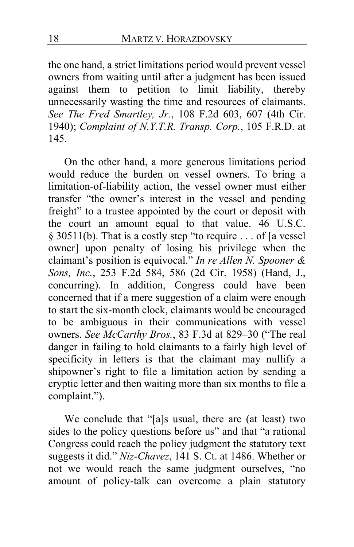the one hand, a strict limitations period would prevent vessel owners from waiting until after a judgment has been issued against them to petition to limit liability, thereby unnecessarily wasting the time and resources of claimants. *See The Fred Smartley, Jr.*, 108 F.2d 603, 607 (4th Cir. 1940); *Complaint of N.Y.T.R. Transp. Corp.*, 105 F.R.D. at 145.

On the other hand, a more generous limitations period would reduce the burden on vessel owners. To bring a limitation-of-liability action, the vessel owner must either transfer "the owner's interest in the vessel and pending freight" to a trustee appointed by the court or deposit with the court an amount equal to that value. 46 U.S.C. § 30511(b). That is a costly step "to require . . . of [a vessel owner] upon penalty of losing his privilege when the claimant's position is equivocal." *In re Allen N. Spooner & Sons, Inc.*, 253 F.2d 584, 586 (2d Cir. 1958) (Hand, J., concurring). In addition, Congress could have been concerned that if a mere suggestion of a claim were enough to start the six-month clock, claimants would be encouraged to be ambiguous in their communications with vessel owners. *See McCarthy Bros.*, 83 F.3d at 829–30 ("The real danger in failing to hold claimants to a fairly high level of specificity in letters is that the claimant may nullify a shipowner's right to file a limitation action by sending a cryptic letter and then waiting more than six months to file a complaint.").

We conclude that "[a]s usual, there are (at least) two sides to the policy questions before us" and that "a rational Congress could reach the policy judgment the statutory text suggests it did." *Niz-Chavez*, 141 S. Ct. at 1486. Whether or not we would reach the same judgment ourselves, "no amount of policy-talk can overcome a plain statutory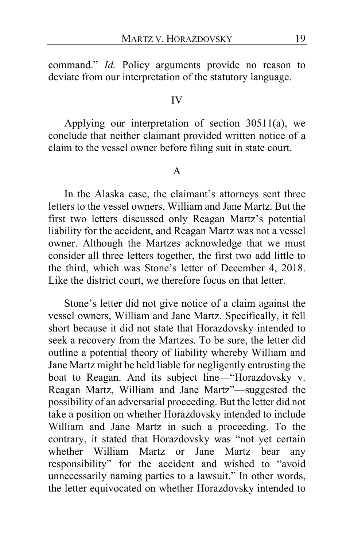command." *Id.* Policy arguments provide no reason to deviate from our interpretation of the statutory language.

### IV

Applying our interpretation of section 30511(a), we conclude that neither claimant provided written notice of a claim to the vessel owner before filing suit in state court.

#### A

In the Alaska case, the claimant's attorneys sent three letters to the vessel owners, William and Jane Martz. But the first two letters discussed only Reagan Martz's potential liability for the accident, and Reagan Martz was not a vessel owner. Although the Martzes acknowledge that we must consider all three letters together, the first two add little to the third, which was Stone's letter of December 4, 2018. Like the district court, we therefore focus on that letter.

Stone's letter did not give notice of a claim against the vessel owners, William and Jane Martz. Specifically, it fell short because it did not state that Horazdovsky intended to seek a recovery from the Martzes. To be sure, the letter did outline a potential theory of liability whereby William and Jane Martz might be held liable for negligently entrusting the boat to Reagan. And its subject line—"Horazdovsky v. Reagan Martz, William and Jane Martz"—suggested the possibility of an adversarial proceeding. But the letter did not take a position on whether Horazdovsky intended to include William and Jane Martz in such a proceeding. To the contrary, it stated that Horazdovsky was "not yet certain whether William Martz or Jane Martz bear any responsibility" for the accident and wished to "avoid unnecessarily naming parties to a lawsuit." In other words, the letter equivocated on whether Horazdovsky intended to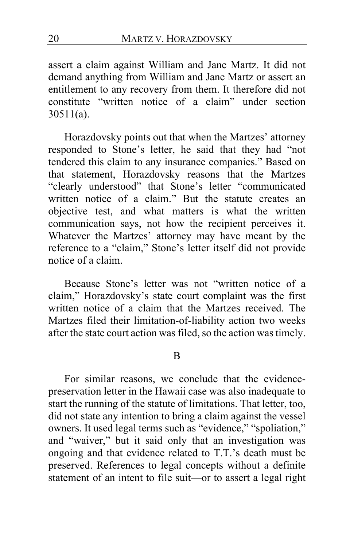assert a claim against William and Jane Martz. It did not demand anything from William and Jane Martz or assert an entitlement to any recovery from them. It therefore did not constitute "written notice of a claim" under section 30511(a).

Horazdovsky points out that when the Martzes' attorney responded to Stone's letter, he said that they had "not tendered this claim to any insurance companies." Based on that statement, Horazdovsky reasons that the Martzes "clearly understood" that Stone's letter "communicated written notice of a claim." But the statute creates an objective test, and what matters is what the written communication says, not how the recipient perceives it. Whatever the Martzes' attorney may have meant by the reference to a "claim," Stone's letter itself did not provide notice of a claim.

Because Stone's letter was not "written notice of a claim," Horazdovsky's state court complaint was the first written notice of a claim that the Martzes received. The Martzes filed their limitation-of-liability action two weeks after the state court action was filed, so the action was timely.

### B

For similar reasons, we conclude that the evidencepreservation letter in the Hawaii case was also inadequate to start the running of the statute of limitations. That letter, too, did not state any intention to bring a claim against the vessel owners. It used legal terms such as "evidence," "spoliation," and "waiver," but it said only that an investigation was ongoing and that evidence related to T.T.'s death must be preserved. References to legal concepts without a definite statement of an intent to file suit—or to assert a legal right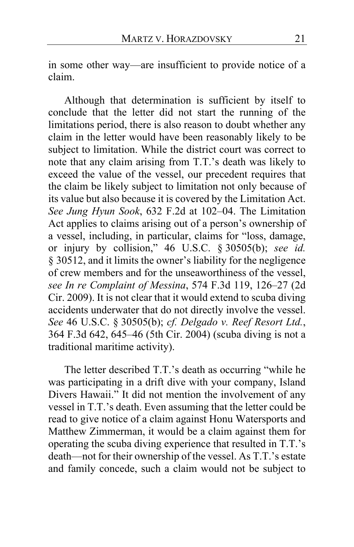in some other way—are insufficient to provide notice of a claim.

Although that determination is sufficient by itself to conclude that the letter did not start the running of the limitations period, there is also reason to doubt whether any claim in the letter would have been reasonably likely to be subject to limitation. While the district court was correct to note that any claim arising from T.T.'s death was likely to exceed the value of the vessel, our precedent requires that the claim be likely subject to limitation not only because of its value but also because it is covered by the Limitation Act. *See Jung Hyun Sook*, 632 F.2d at 102–04. The Limitation Act applies to claims arising out of a person's ownership of a vessel, including, in particular, claims for "loss, damage, or injury by collision," 46 U.S.C. § 30505(b); *see id.* § 30512, and it limits the owner's liability for the negligence of crew members and for the unseaworthiness of the vessel, *see In re Complaint of Messina*, 574 F.3d 119, 126–27 (2d Cir. 2009). It is not clear that it would extend to scuba diving accidents underwater that do not directly involve the vessel. *See* 46 U.S.C. § 30505(b); *cf. Delgado v. Reef Resort Ltd.*, 364 F.3d 642, 645–46 (5th Cir. 2004) (scuba diving is not a traditional maritime activity).

The letter described T.T.'s death as occurring "while he was participating in a drift dive with your company, Island Divers Hawaii." It did not mention the involvement of any vessel in T.T.'s death. Even assuming that the letter could be read to give notice of a claim against Honu Watersports and Matthew Zimmerman, it would be a claim against them for operating the scuba diving experience that resulted in T.T.'s death—not for their ownership of the vessel. As T.T.'s estate and family concede, such a claim would not be subject to